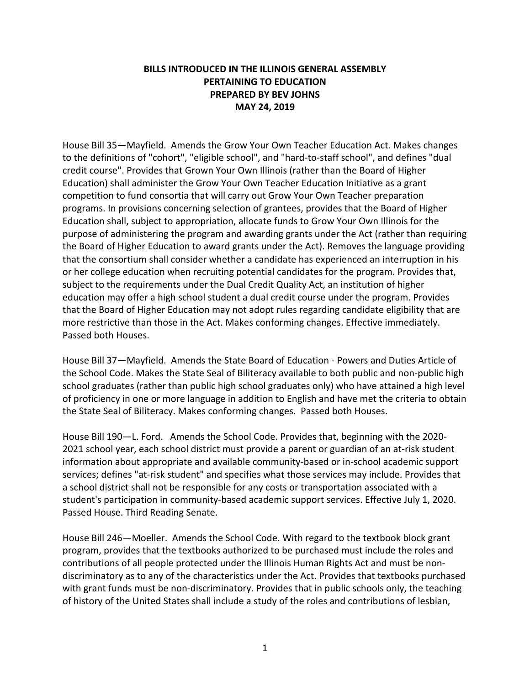## **BILLS INTRODUCED IN THE ILLINOIS GENERAL ASSEMBLY PERTAINING TO EDUCATION PREPARED BY BEV JOHNS MAY 24, 2019**

House Bill 35—Mayfield. Amends the Grow Your Own Teacher Education Act. Makes changes to the definitions of "cohort", "eligible school", and "hard-to-staff school", and defines "dual credit course". Provides that Grown Your Own Illinois (rather than the Board of Higher Education) shall administer the Grow Your Own Teacher Education Initiative as a grant competition to fund consortia that will carry out Grow Your Own Teacher preparation programs. In provisions concerning selection of grantees, provides that the Board of Higher Education shall, subject to appropriation, allocate funds to Grow Your Own Illinois for the purpose of administering the program and awarding grants under the Act (rather than requiring the Board of Higher Education to award grants under the Act). Removes the language providing that the consortium shall consider whether a candidate has experienced an interruption in his or her college education when recruiting potential candidates for the program. Provides that, subject to the requirements under the Dual Credit Quality Act, an institution of higher education may offer a high school student a dual credit course under the program. Provides that the Board of Higher Education may not adopt rules regarding candidate eligibility that are more restrictive than those in the Act. Makes conforming changes. Effective immediately. Passed both Houses.

House Bill 37—Mayfield. Amends the State Board of Education - Powers and Duties Article of the School Code. Makes the State Seal of Biliteracy available to both public and non-public high school graduates (rather than public high school graduates only) who have attained a high level of proficiency in one or more language in addition to English and have met the criteria to obtain the State Seal of Biliteracy. Makes conforming changes. Passed both Houses.

House Bill 190—L. Ford. Amends the School Code. Provides that, beginning with the 2020- 2021 school year, each school district must provide a parent or guardian of an at-risk student information about appropriate and available community-based or in-school academic support services; defines "at-risk student" and specifies what those services may include. Provides that a school district shall not be responsible for any costs or transportation associated with a student's participation in community-based academic support services. Effective July 1, 2020. Passed House. Third Reading Senate.

House Bill 246—Moeller. Amends the School Code. With regard to the textbook block grant program, provides that the textbooks authorized to be purchased must include the roles and contributions of all people protected under the Illinois Human Rights Act and must be nondiscriminatory as to any of the characteristics under the Act. Provides that textbooks purchased with grant funds must be non-discriminatory. Provides that in public schools only, the teaching of history of the United States shall include a study of the roles and contributions of lesbian,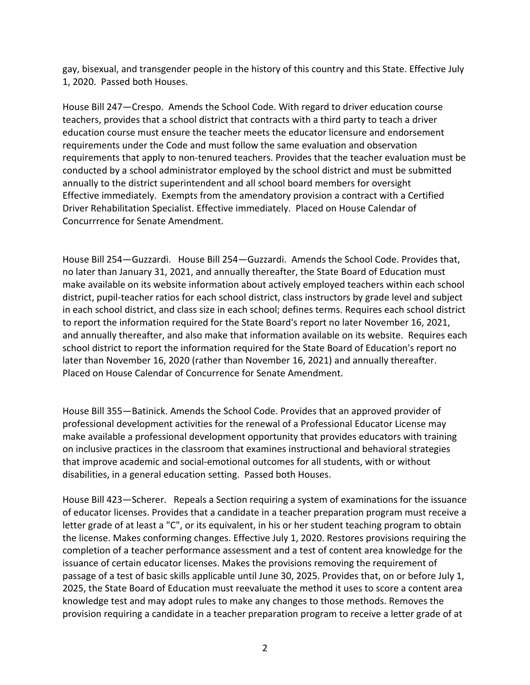gay, bisexual, and transgender people in the history of this country and this State. Effective July 1, 2020. Passed both Houses.

House Bill 247—Crespo. Amends the School Code. With regard to driver education course teachers, provides that a school district that contracts with a third party to teach a driver education course must ensure the teacher meets the educator licensure and endorsement requirements under the Code and must follow the same evaluation and observation requirements that apply to non-tenured teachers. Provides that the teacher evaluation must be conducted by a school administrator employed by the school district and must be submitted annually to the district superintendent and all school board members for oversight Effective immediately. Exempts from the amendatory provision a contract with a Certified Driver Rehabilitation Specialist. Effective immediately. Placed on House Calendar of Concurrrence for Senate Amendment.

House Bill 254—Guzzardi. House Bill 254—Guzzardi. Amends the School Code. Provides that, no later than January 31, 2021, and annually thereafter, the State Board of Education must make available on its website information about actively employed teachers within each school district, pupil-teacher ratios for each school district, class instructors by grade level and subject in each school district, and class size in each school; defines terms. Requires each school district to report the information required for the State Board's report no later November 16, 2021, and annually thereafter, and also make that information available on its website. Requires each school district to report the information required for the State Board of Education's report no later than November 16, 2020 (rather than November 16, 2021) and annually thereafter. Placed on House Calendar of Concurrence for Senate Amendment.

House Bill 355—Batinick. Amends the School Code. Provides that an approved provider of professional development activities for the renewal of a Professional Educator License may make available a professional development opportunity that provides educators with training on inclusive practices in the classroom that examines instructional and behavioral strategies that improve academic and social-emotional outcomes for all students, with or without disabilities, in a general education setting. Passed both Houses.

House Bill 423—Scherer. Repeals a Section requiring a system of examinations for the issuance of educator licenses. Provides that a candidate in a teacher preparation program must receive a letter grade of at least a "C", or its equivalent, in his or her student teaching program to obtain the license. Makes conforming changes. Effective July 1, 2020. Restores provisions requiring the completion of a teacher performance assessment and a test of content area knowledge for the issuance of certain educator licenses. Makes the provisions removing the requirement of passage of a test of basic skills applicable until June 30, 2025. Provides that, on or before July 1, 2025, the State Board of Education must reevaluate the method it uses to score a content area knowledge test and may adopt rules to make any changes to those methods. Removes the provision requiring a candidate in a teacher preparation program to receive a letter grade of at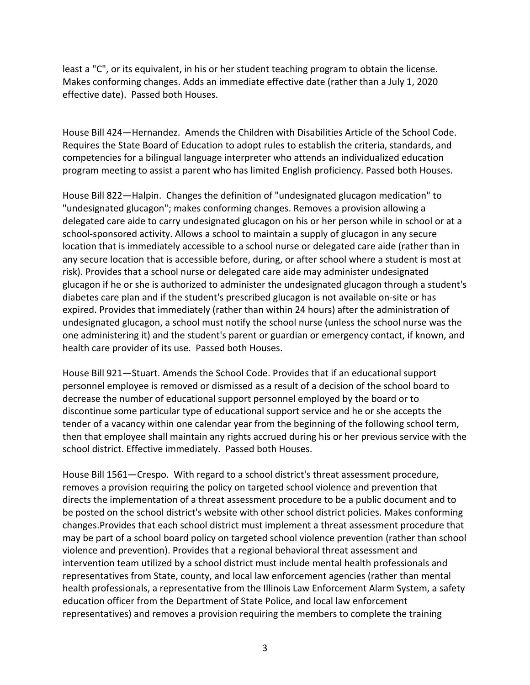least a "C", or its equivalent, in his or her student teaching program to obtain the license. Makes conforming changes. Adds an immediate effective date (rather than a July 1, 2020 effective date). Passed both Houses.

House Bill 424—Hernandez. Amends the Children with Disabilities Article of the School Code. Requires the State Board of Education to adopt rules to establish the criteria, standards, and competencies for a bilingual language interpreter who attends an individualized education program meeting to assist a parent who has limited English proficiency. Passed both Houses.

House Bill 822—Halpin. Changes the definition of "undesignated glucagon medication" to "undesignated glucagon"; makes conforming changes. Removes a provision allowing a delegated care aide to carry undesignated glucagon on his or her person while in school or at a school-sponsored activity. Allows a school to maintain a supply of glucagon in any secure location that is immediately accessible to a school nurse or delegated care aide (rather than in any secure location that is accessible before, during, or after school where a student is most at risk). Provides that a school nurse or delegated care aide may administer undesignated glucagon if he or she is authorized to administer the undesignated glucagon through a student's diabetes care plan and if the student's prescribed glucagon is not available on-site or has expired. Provides that immediately (rather than within 24 hours) after the administration of undesignated glucagon, a school must notify the school nurse (unless the school nurse was the one administering it) and the student's parent or guardian or emergency contact, if known, and health care provider of its use. Passed both Houses.

House Bill 921—Stuart. Amends the School Code. Provides that if an educational support personnel employee is removed or dismissed as a result of a decision of the school board to decrease the number of educational support personnel employed by the board or to discontinue some particular type of educational support service and he or she accepts the tender of a vacancy within one calendar year from the beginning of the following school term, then that employee shall maintain any rights accrued during his or her previous service with the school district. Effective immediately. Passed both Houses.

House Bill 1561—Crespo. With regard to a school district's threat assessment procedure, removes a provision requiring the policy on targeted school violence and prevention that directs the implementation of a threat assessment procedure to be a public document and to be posted on the school district's website with other school district policies. Makes conforming changes.Provides that each school district must implement a threat assessment procedure that may be part of a school board policy on targeted school violence prevention (rather than school violence and prevention). Provides that a regional behavioral threat assessment and intervention team utilized by a school district must include mental health professionals and representatives from State, county, and local law enforcement agencies (rather than mental health professionals, a representative from the Illinois Law Enforcement Alarm System, a safety education officer from the Department of State Police, and local law enforcement representatives) and removes a provision requiring the members to complete the training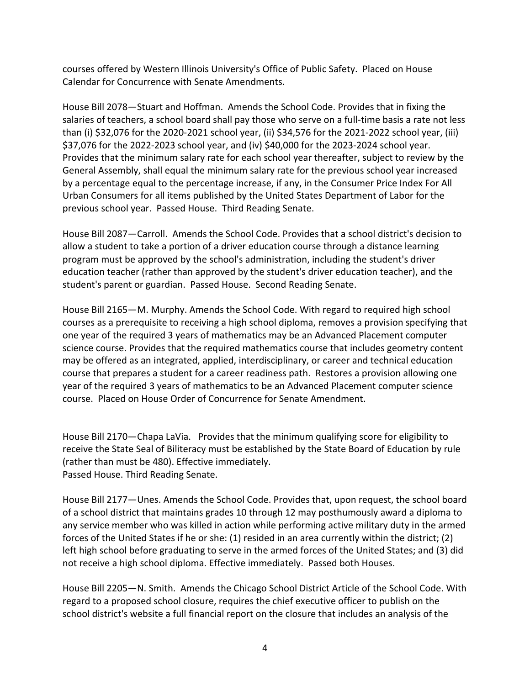courses offered by Western Illinois University's Office of Public Safety. Placed on House Calendar for Concurrence with Senate Amendments.

House Bill 2078—Stuart and Hoffman. Amends the School Code. Provides that in fixing the salaries of teachers, a school board shall pay those who serve on a full-time basis a rate not less than (i) \$32,076 for the 2020-2021 school year, (ii) \$34,576 for the 2021-2022 school year, (iii) \$37,076 for the 2022-2023 school year, and (iv) \$40,000 for the 2023-2024 school year. Provides that the minimum salary rate for each school year thereafter, subject to review by the General Assembly, shall equal the minimum salary rate for the previous school year increased by a percentage equal to the percentage increase, if any, in the Consumer Price Index For All Urban Consumers for all items published by the United States Department of Labor for the previous school year. Passed House. Third Reading Senate.

House Bill 2087—Carroll. Amends the School Code. Provides that a school district's decision to allow a student to take a portion of a driver education course through a distance learning program must be approved by the school's administration, including the student's driver education teacher (rather than approved by the student's driver education teacher), and the student's parent or guardian. Passed House. Second Reading Senate.

House Bill 2165—M. Murphy. Amends the School Code. With regard to required high school courses as a prerequisite to receiving a high school diploma, removes a provision specifying that one year of the required 3 years of mathematics may be an Advanced Placement computer science course. Provides that the required mathematics course that includes geometry content may be offered as an integrated, applied, interdisciplinary, or career and technical education course that prepares a student for a career readiness path. Restores a provision allowing one year of the required 3 years of mathematics to be an Advanced Placement computer science course. Placed on House Order of Concurrence for Senate Amendment.

House Bill 2170—Chapa LaVia. Provides that the minimum qualifying score for eligibility to receive the State Seal of Biliteracy must be established by the State Board of Education by rule (rather than must be 480). Effective immediately. Passed House. Third Reading Senate.

House Bill 2177—Unes. Amends the School Code. Provides that, upon request, the school board of a school district that maintains grades 10 through 12 may posthumously award a diploma to any service member who was killed in action while performing active military duty in the armed forces of the United States if he or she: (1) resided in an area currently within the district; (2) left high school before graduating to serve in the armed forces of the United States; and (3) did not receive a high school diploma. Effective immediately. Passed both Houses.

House Bill 2205—N. Smith. Amends the Chicago School District Article of the School Code. With regard to a proposed school closure, requires the chief executive officer to publish on the school district's website a full financial report on the closure that includes an analysis of the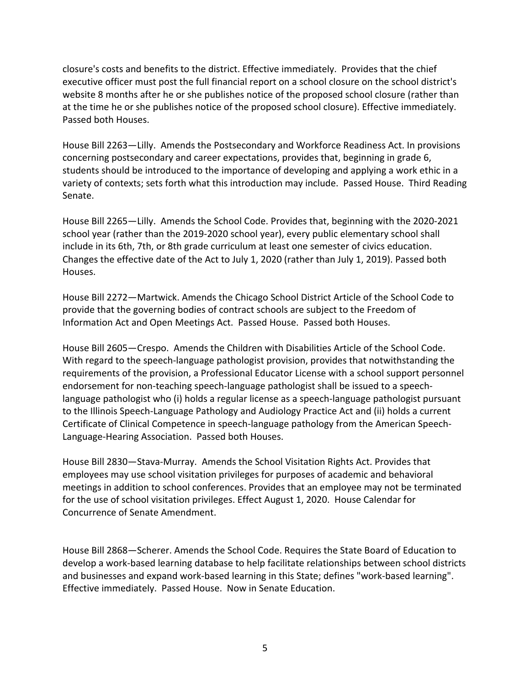closure's costs and benefits to the district. Effective immediately. Provides that the chief executive officer must post the full financial report on a school closure on the school district's website 8 months after he or she publishes notice of the proposed school closure (rather than at the time he or she publishes notice of the proposed school closure). Effective immediately. Passed both Houses.

House Bill 2263—Lilly. Amends the Postsecondary and Workforce Readiness Act. In provisions concerning postsecondary and career expectations, provides that, beginning in grade 6, students should be introduced to the importance of developing and applying a work ethic in a variety of contexts; sets forth what this introduction may include. Passed House. Third Reading Senate.

House Bill 2265—Lilly. Amends the School Code. Provides that, beginning with the 2020-2021 school year (rather than the 2019-2020 school year), every public elementary school shall include in its 6th, 7th, or 8th grade curriculum at least one semester of civics education. Changes the effective date of the Act to July 1, 2020 (rather than July 1, 2019). Passed both Houses.

House Bill 2272—Martwick. Amends the Chicago School District Article of the School Code to provide that the governing bodies of contract schools are subject to the Freedom of Information Act and Open Meetings Act. Passed House. Passed both Houses.

House Bill 2605—Crespo. Amends the Children with Disabilities Article of the School Code. With regard to the speech-language pathologist provision, provides that notwithstanding the requirements of the provision, a Professional Educator License with a school support personnel endorsement for non-teaching speech-language pathologist shall be issued to a speechlanguage pathologist who (i) holds a regular license as a speech-language pathologist pursuant to the Illinois Speech-Language Pathology and Audiology Practice Act and (ii) holds a current Certificate of Clinical Competence in speech-language pathology from the American Speech-Language-Hearing Association. Passed both Houses.

House Bill 2830—Stava-Murray. Amends the School Visitation Rights Act. Provides that employees may use school visitation privileges for purposes of academic and behavioral meetings in addition to school conferences. Provides that an employee may not be terminated for the use of school visitation privileges. Effect August 1, 2020. House Calendar for Concurrence of Senate Amendment.

House Bill 2868—Scherer. Amends the School Code. Requires the State Board of Education to develop a work-based learning database to help facilitate relationships between school districts and businesses and expand work-based learning in this State; defines "work-based learning". Effective immediately. Passed House. Now in Senate Education.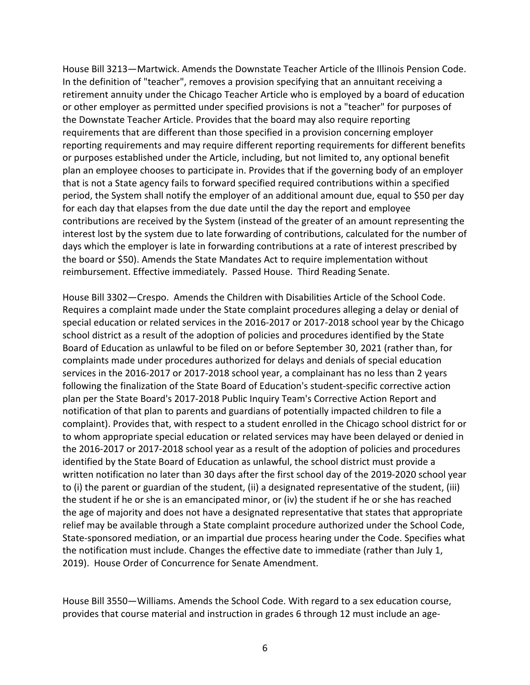House Bill 3213—Martwick. Amends the Downstate Teacher Article of the Illinois Pension Code. In the definition of "teacher", removes a provision specifying that an annuitant receiving a retirement annuity under the Chicago Teacher Article who is employed by a board of education or other employer as permitted under specified provisions is not a "teacher" for purposes of the Downstate Teacher Article. Provides that the board may also require reporting requirements that are different than those specified in a provision concerning employer reporting requirements and may require different reporting requirements for different benefits or purposes established under the Article, including, but not limited to, any optional benefit plan an employee chooses to participate in. Provides that if the governing body of an employer that is not a State agency fails to forward specified required contributions within a specified period, the System shall notify the employer of an additional amount due, equal to \$50 per day for each day that elapses from the due date until the day the report and employee contributions are received by the System (instead of the greater of an amount representing the interest lost by the system due to late forwarding of contributions, calculated for the number of days which the employer is late in forwarding contributions at a rate of interest prescribed by the board or \$50). Amends the State Mandates Act to require implementation without reimbursement. Effective immediately. Passed House. Third Reading Senate.

House Bill 3302—Crespo. Amends the Children with Disabilities Article of the School Code. Requires a complaint made under the State complaint procedures alleging a delay or denial of special education or related services in the 2016-2017 or 2017-2018 school year by the Chicago school district as a result of the adoption of policies and procedures identified by the State Board of Education as unlawful to be filed on or before September 30, 2021 (rather than, for complaints made under procedures authorized for delays and denials of special education services in the 2016-2017 or 2017-2018 school year, a complainant has no less than 2 years following the finalization of the State Board of Education's student-specific corrective action plan per the State Board's 2017-2018 Public Inquiry Team's Corrective Action Report and notification of that plan to parents and guardians of potentially impacted children to file a complaint). Provides that, with respect to a student enrolled in the Chicago school district for or to whom appropriate special education or related services may have been delayed or denied in the 2016-2017 or 2017-2018 school year as a result of the adoption of policies and procedures identified by the State Board of Education as unlawful, the school district must provide a written notification no later than 30 days after the first school day of the 2019-2020 school year to (i) the parent or guardian of the student, (ii) a designated representative of the student, (iii) the student if he or she is an emancipated minor, or (iv) the student if he or she has reached the age of majority and does not have a designated representative that states that appropriate relief may be available through a State complaint procedure authorized under the School Code, State-sponsored mediation, or an impartial due process hearing under the Code. Specifies what the notification must include. Changes the effective date to immediate (rather than July 1, 2019). House Order of Concurrence for Senate Amendment.

House Bill 3550—Williams. Amends the School Code. With regard to a sex education course, provides that course material and instruction in grades 6 through 12 must include an age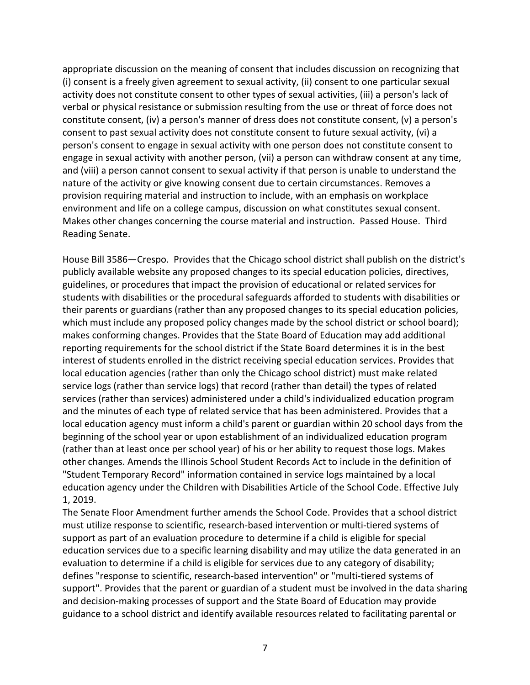appropriate discussion on the meaning of consent that includes discussion on recognizing that (i) consent is a freely given agreement to sexual activity, (ii) consent to one particular sexual activity does not constitute consent to other types of sexual activities, (iii) a person's lack of verbal or physical resistance or submission resulting from the use or threat of force does not constitute consent, (iv) a person's manner of dress does not constitute consent, (v) a person's consent to past sexual activity does not constitute consent to future sexual activity, (vi) a person's consent to engage in sexual activity with one person does not constitute consent to engage in sexual activity with another person, (vii) a person can withdraw consent at any time, and (viii) a person cannot consent to sexual activity if that person is unable to understand the nature of the activity or give knowing consent due to certain circumstances. Removes a provision requiring material and instruction to include, with an emphasis on workplace environment and life on a college campus, discussion on what constitutes sexual consent. Makes other changes concerning the course material and instruction. Passed House. Third Reading Senate.

House Bill 3586—Crespo. Provides that the Chicago school district shall publish on the district's publicly available website any proposed changes to its special education policies, directives, guidelines, or procedures that impact the provision of educational or related services for students with disabilities or the procedural safeguards afforded to students with disabilities or their parents or guardians (rather than any proposed changes to its special education policies, which must include any proposed policy changes made by the school district or school board); makes conforming changes. Provides that the State Board of Education may add additional reporting requirements for the school district if the State Board determines it is in the best interest of students enrolled in the district receiving special education services. Provides that local education agencies (rather than only the Chicago school district) must make related service logs (rather than service logs) that record (rather than detail) the types of related services (rather than services) administered under a child's individualized education program and the minutes of each type of related service that has been administered. Provides that a local education agency must inform a child's parent or guardian within 20 school days from the beginning of the school year or upon establishment of an individualized education program (rather than at least once per school year) of his or her ability to request those logs. Makes other changes. Amends the Illinois School Student Records Act to include in the definition of "Student Temporary Record" information contained in service logs maintained by a local education agency under the Children with Disabilities Article of the School Code. Effective July 1, 2019.

The Senate Floor Amendment further amends the School Code. Provides that a school district must utilize response to scientific, research-based intervention or multi-tiered systems of support as part of an evaluation procedure to determine if a child is eligible for special education services due to a specific learning disability and may utilize the data generated in an evaluation to determine if a child is eligible for services due to any category of disability; defines "response to scientific, research-based intervention" or "multi-tiered systems of support". Provides that the parent or guardian of a student must be involved in the data sharing and decision-making processes of support and the State Board of Education may provide guidance to a school district and identify available resources related to facilitating parental or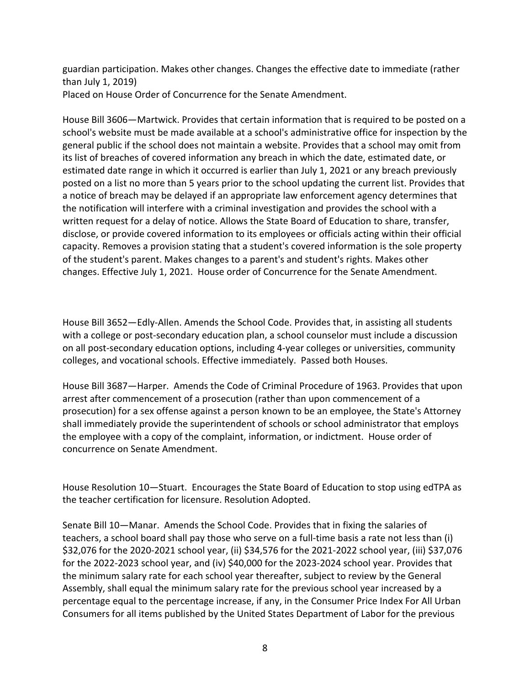guardian participation. Makes other changes. Changes the effective date to immediate (rather than July 1, 2019) Placed on House Order of Concurrence for the Senate Amendment.

House Bill 3606—Martwick. Provides that certain information that is required to be posted on a school's website must be made available at a school's administrative office for inspection by the general public if the school does not maintain a website. Provides that a school may omit from its list of breaches of covered information any breach in which the date, estimated date, or estimated date range in which it occurred is earlier than July 1, 2021 or any breach previously posted on a list no more than 5 years prior to the school updating the current list. Provides that a notice of breach may be delayed if an appropriate law enforcement agency determines that the notification will interfere with a criminal investigation and provides the school with a written request for a delay of notice. Allows the State Board of Education to share, transfer, disclose, or provide covered information to its employees or officials acting within their official capacity. Removes a provision stating that a student's covered information is the sole property of the student's parent. Makes changes to a parent's and student's rights. Makes other changes. Effective July 1, 2021. House order of Concurrence for the Senate Amendment.

House Bill 3652—Edly-Allen. Amends the School Code. Provides that, in assisting all students with a college or post-secondary education plan, a school counselor must include a discussion on all post-secondary education options, including 4-year colleges or universities, community colleges, and vocational schools. Effective immediately. Passed both Houses.

House Bill 3687—Harper. Amends the Code of Criminal Procedure of 1963. Provides that upon arrest after commencement of a prosecution (rather than upon commencement of a prosecution) for a sex offense against a person known to be an employee, the State's Attorney shall immediately provide the superintendent of schools or school administrator that employs the employee with a copy of the complaint, information, or indictment. House order of concurrence on Senate Amendment.

House Resolution 10—Stuart. Encourages the State Board of Education to stop using edTPA as the teacher certification for licensure. Resolution Adopted.

Senate Bill 10—Manar. Amends the School Code. Provides that in fixing the salaries of teachers, a school board shall pay those who serve on a full-time basis a rate not less than (i) \$32,076 for the 2020-2021 school year, (ii) \$34,576 for the 2021-2022 school year, (iii) \$37,076 for the 2022-2023 school year, and (iv) \$40,000 for the 2023-2024 school year. Provides that the minimum salary rate for each school year thereafter, subject to review by the General Assembly, shall equal the minimum salary rate for the previous school year increased by a percentage equal to the percentage increase, if any, in the Consumer Price Index For All Urban Consumers for all items published by the United States Department of Labor for the previous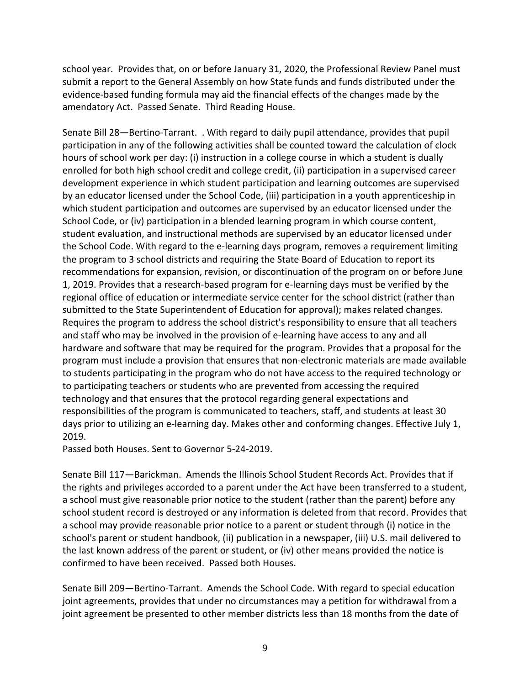school year. Provides that, on or before January 31, 2020, the Professional Review Panel must submit a report to the General Assembly on how State funds and funds distributed under the evidence-based funding formula may aid the financial effects of the changes made by the amendatory Act. Passed Senate. Third Reading House.

Senate Bill 28—Bertino-Tarrant. . With regard to daily pupil attendance, provides that pupil participation in any of the following activities shall be counted toward the calculation of clock hours of school work per day: (i) instruction in a college course in which a student is dually enrolled for both high school credit and college credit, (ii) participation in a supervised career development experience in which student participation and learning outcomes are supervised by an educator licensed under the School Code, (iii) participation in a youth apprenticeship in which student participation and outcomes are supervised by an educator licensed under the School Code, or (iv) participation in a blended learning program in which course content, student evaluation, and instructional methods are supervised by an educator licensed under the School Code. With regard to the e-learning days program, removes a requirement limiting the program to 3 school districts and requiring the State Board of Education to report its recommendations for expansion, revision, or discontinuation of the program on or before June 1, 2019. Provides that a research-based program for e-learning days must be verified by the regional office of education or intermediate service center for the school district (rather than submitted to the State Superintendent of Education for approval); makes related changes. Requires the program to address the school district's responsibility to ensure that all teachers and staff who may be involved in the provision of e-learning have access to any and all hardware and software that may be required for the program. Provides that a proposal for the program must include a provision that ensures that non-electronic materials are made available to students participating in the program who do not have access to the required technology or to participating teachers or students who are prevented from accessing the required technology and that ensures that the protocol regarding general expectations and responsibilities of the program is communicated to teachers, staff, and students at least 30 days prior to utilizing an e-learning day. Makes other and conforming changes. Effective July 1, 2019.

Passed both Houses. Sent to Governor 5-24-2019.

Senate Bill 117—Barickman. Amends the Illinois School Student Records Act. Provides that if the rights and privileges accorded to a parent under the Act have been transferred to a student, a school must give reasonable prior notice to the student (rather than the parent) before any school student record is destroyed or any information is deleted from that record. Provides that a school may provide reasonable prior notice to a parent or student through (i) notice in the school's parent or student handbook, (ii) publication in a newspaper, (iii) U.S. mail delivered to the last known address of the parent or student, or (iv) other means provided the notice is confirmed to have been received. Passed both Houses.

Senate Bill 209—Bertino-Tarrant. Amends the School Code. With regard to special education joint agreements, provides that under no circumstances may a petition for withdrawal from a joint agreement be presented to other member districts less than 18 months from the date of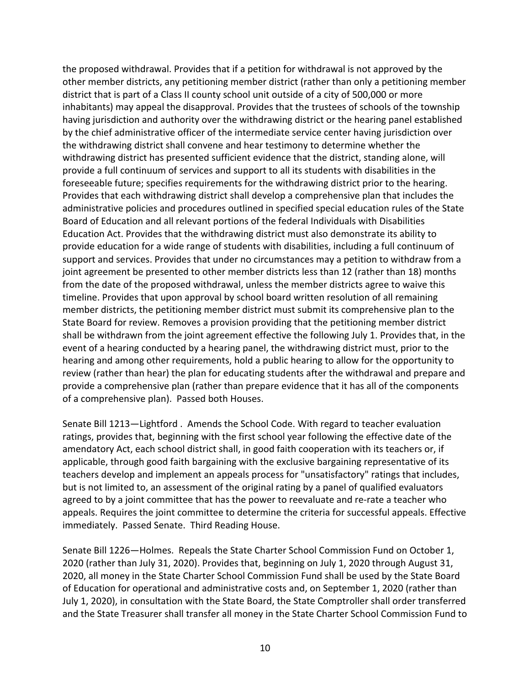the proposed withdrawal. Provides that if a petition for withdrawal is not approved by the other member districts, any petitioning member district (rather than only a petitioning member district that is part of a Class II county school unit outside of a city of 500,000 or more inhabitants) may appeal the disapproval. Provides that the trustees of schools of the township having jurisdiction and authority over the withdrawing district or the hearing panel established by the chief administrative officer of the intermediate service center having jurisdiction over the withdrawing district shall convene and hear testimony to determine whether the withdrawing district has presented sufficient evidence that the district, standing alone, will provide a full continuum of services and support to all its students with disabilities in the foreseeable future; specifies requirements for the withdrawing district prior to the hearing. Provides that each withdrawing district shall develop a comprehensive plan that includes the administrative policies and procedures outlined in specified special education rules of the State Board of Education and all relevant portions of the federal Individuals with Disabilities Education Act. Provides that the withdrawing district must also demonstrate its ability to provide education for a wide range of students with disabilities, including a full continuum of support and services. Provides that under no circumstances may a petition to withdraw from a joint agreement be presented to other member districts less than 12 (rather than 18) months from the date of the proposed withdrawal, unless the member districts agree to waive this timeline. Provides that upon approval by school board written resolution of all remaining member districts, the petitioning member district must submit its comprehensive plan to the State Board for review. Removes a provision providing that the petitioning member district shall be withdrawn from the joint agreement effective the following July 1. Provides that, in the event of a hearing conducted by a hearing panel, the withdrawing district must, prior to the hearing and among other requirements, hold a public hearing to allow for the opportunity to review (rather than hear) the plan for educating students after the withdrawal and prepare and provide a comprehensive plan (rather than prepare evidence that it has all of the components of a comprehensive plan). Passed both Houses.

Senate Bill 1213—Lightford . Amends the School Code. With regard to teacher evaluation ratings, provides that, beginning with the first school year following the effective date of the amendatory Act, each school district shall, in good faith cooperation with its teachers or, if applicable, through good faith bargaining with the exclusive bargaining representative of its teachers develop and implement an appeals process for "unsatisfactory" ratings that includes, but is not limited to, an assessment of the original rating by a panel of qualified evaluators agreed to by a joint committee that has the power to reevaluate and re-rate a teacher who appeals. Requires the joint committee to determine the criteria for successful appeals. Effective immediately. Passed Senate. Third Reading House.

Senate Bill 1226—Holmes. Repeals the State Charter School Commission Fund on October 1, 2020 (rather than July 31, 2020). Provides that, beginning on July 1, 2020 through August 31, 2020, all money in the State Charter School Commission Fund shall be used by the State Board of Education for operational and administrative costs and, on September 1, 2020 (rather than July 1, 2020), in consultation with the State Board, the State Comptroller shall order transferred and the State Treasurer shall transfer all money in the State Charter School Commission Fund to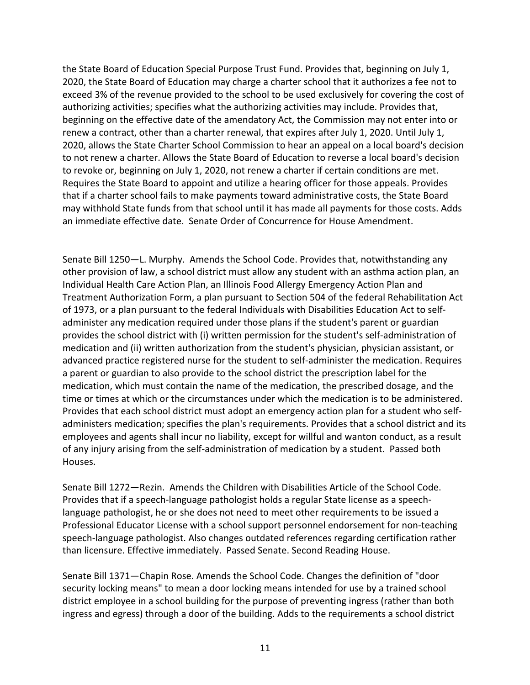the State Board of Education Special Purpose Trust Fund. Provides that, beginning on July 1, 2020, the State Board of Education may charge a charter school that it authorizes a fee not to exceed 3% of the revenue provided to the school to be used exclusively for covering the cost of authorizing activities; specifies what the authorizing activities may include. Provides that, beginning on the effective date of the amendatory Act, the Commission may not enter into or renew a contract, other than a charter renewal, that expires after July 1, 2020. Until July 1, 2020, allows the State Charter School Commission to hear an appeal on a local board's decision to not renew a charter. Allows the State Board of Education to reverse a local board's decision to revoke or, beginning on July 1, 2020, not renew a charter if certain conditions are met. Requires the State Board to appoint and utilize a hearing officer for those appeals. Provides that if a charter school fails to make payments toward administrative costs, the State Board may withhold State funds from that school until it has made all payments for those costs. Adds an immediate effective date. Senate Order of Concurrence for House Amendment.

Senate Bill 1250—L. Murphy. Amends the School Code. Provides that, notwithstanding any other provision of law, a school district must allow any student with an asthma action plan, an Individual Health Care Action Plan, an Illinois Food Allergy Emergency Action Plan and Treatment Authorization Form, a plan pursuant to Section 504 of the federal Rehabilitation Act of 1973, or a plan pursuant to the federal Individuals with Disabilities Education Act to selfadminister any medication required under those plans if the student's parent or guardian provides the school district with (i) written permission for the student's self-administration of medication and (ii) written authorization from the student's physician, physician assistant, or advanced practice registered nurse for the student to self-administer the medication. Requires a parent or guardian to also provide to the school district the prescription label for the medication, which must contain the name of the medication, the prescribed dosage, and the time or times at which or the circumstances under which the medication is to be administered. Provides that each school district must adopt an emergency action plan for a student who selfadministers medication; specifies the plan's requirements. Provides that a school district and its employees and agents shall incur no liability, except for willful and wanton conduct, as a result of any injury arising from the self-administration of medication by a student. Passed both Houses.

Senate Bill 1272—Rezin. Amends the Children with Disabilities Article of the School Code. Provides that if a speech-language pathologist holds a regular State license as a speechlanguage pathologist, he or she does not need to meet other requirements to be issued a Professional Educator License with a school support personnel endorsement for non-teaching speech-language pathologist. Also changes outdated references regarding certification rather than licensure. Effective immediately. Passed Senate. Second Reading House.

Senate Bill 1371—Chapin Rose. Amends the School Code. Changes the definition of "door security locking means" to mean a door locking means intended for use by a trained school district employee in a school building for the purpose of preventing ingress (rather than both ingress and egress) through a door of the building. Adds to the requirements a school district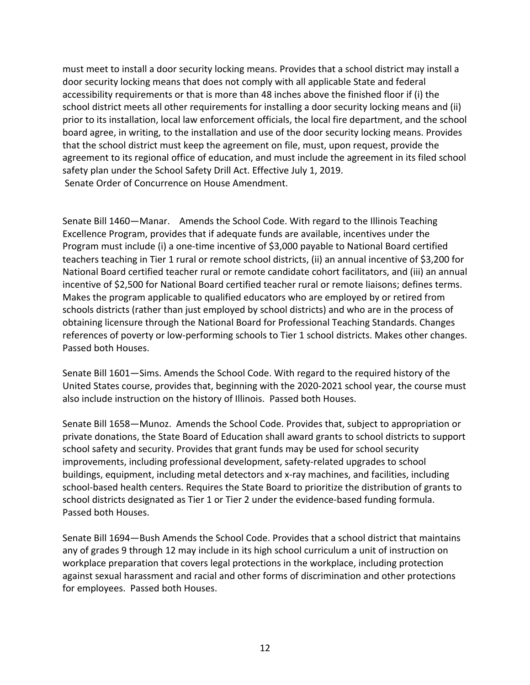must meet to install a door security locking means. Provides that a school district may install a door security locking means that does not comply with all applicable State and federal accessibility requirements or that is more than 48 inches above the finished floor if (i) the school district meets all other requirements for installing a door security locking means and (ii) prior to its installation, local law enforcement officials, the local fire department, and the school board agree, in writing, to the installation and use of the door security locking means. Provides that the school district must keep the agreement on file, must, upon request, provide the agreement to its regional office of education, and must include the agreement in its filed school safety plan under the School Safety Drill Act. Effective July 1, 2019. Senate Order of Concurrence on House Amendment.

Senate Bill 1460—Manar. Amends the School Code. With regard to the Illinois Teaching Excellence Program, provides that if adequate funds are available, incentives under the Program must include (i) a one-time incentive of \$3,000 payable to National Board certified teachers teaching in Tier 1 rural or remote school districts, (ii) an annual incentive of \$3,200 for National Board certified teacher rural or remote candidate cohort facilitators, and (iii) an annual incentive of \$2,500 for National Board certified teacher rural or remote liaisons; defines terms. Makes the program applicable to qualified educators who are employed by or retired from schools districts (rather than just employed by school districts) and who are in the process of obtaining licensure through the National Board for Professional Teaching Standards. Changes references of poverty or low-performing schools to Tier 1 school districts. Makes other changes. Passed both Houses.

Senate Bill 1601—Sims. Amends the School Code. With regard to the required history of the United States course, provides that, beginning with the 2020-2021 school year, the course must also include instruction on the history of Illinois. Passed both Houses.

Senate Bill 1658—Munoz. Amends the School Code. Provides that, subject to appropriation or private donations, the State Board of Education shall award grants to school districts to support school safety and security. Provides that grant funds may be used for school security improvements, including professional development, safety-related upgrades to school buildings, equipment, including metal detectors and x-ray machines, and facilities, including school-based health centers. Requires the State Board to prioritize the distribution of grants to school districts designated as Tier 1 or Tier 2 under the evidence-based funding formula. Passed both Houses.

Senate Bill 1694—Bush Amends the School Code. Provides that a school district that maintains any of grades 9 through 12 may include in its high school curriculum a unit of instruction on workplace preparation that covers legal protections in the workplace, including protection against sexual harassment and racial and other forms of discrimination and other protections for employees. Passed both Houses.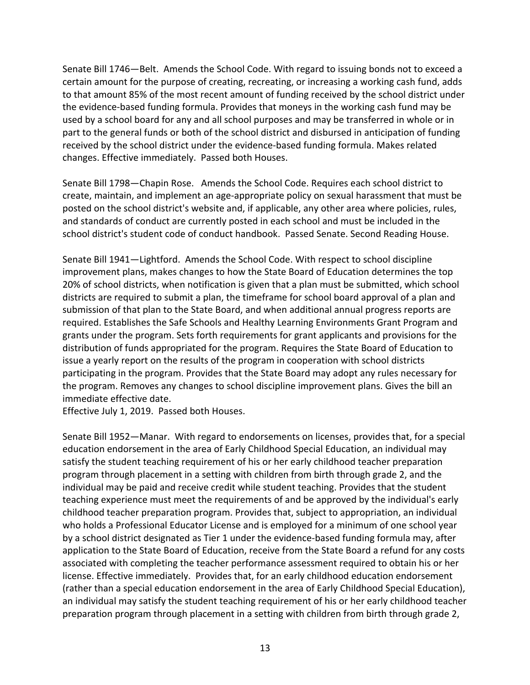Senate Bill 1746—Belt. Amends the School Code. With regard to issuing bonds not to exceed a certain amount for the purpose of creating, recreating, or increasing a working cash fund, adds to that amount 85% of the most recent amount of funding received by the school district under the evidence-based funding formula. Provides that moneys in the working cash fund may be used by a school board for any and all school purposes and may be transferred in whole or in part to the general funds or both of the school district and disbursed in anticipation of funding received by the school district under the evidence-based funding formula. Makes related changes. Effective immediately. Passed both Houses.

Senate Bill 1798—Chapin Rose. Amends the School Code. Requires each school district to create, maintain, and implement an age-appropriate policy on sexual harassment that must be posted on the school district's website and, if applicable, any other area where policies, rules, and standards of conduct are currently posted in each school and must be included in the school district's student code of conduct handbook. Passed Senate. Second Reading House.

Senate Bill 1941—Lightford. Amends the School Code. With respect to school discipline improvement plans, makes changes to how the State Board of Education determines the top 20% of school districts, when notification is given that a plan must be submitted, which school districts are required to submit a plan, the timeframe for school board approval of a plan and submission of that plan to the State Board, and when additional annual progress reports are required. Establishes the Safe Schools and Healthy Learning Environments Grant Program and grants under the program. Sets forth requirements for grant applicants and provisions for the distribution of funds appropriated for the program. Requires the State Board of Education to issue a yearly report on the results of the program in cooperation with school districts participating in the program. Provides that the State Board may adopt any rules necessary for the program. Removes any changes to school discipline improvement plans. Gives the bill an immediate effective date.

Effective July 1, 2019. Passed both Houses.

Senate Bill 1952—Manar. With regard to endorsements on licenses, provides that, for a special education endorsement in the area of Early Childhood Special Education, an individual may satisfy the student teaching requirement of his or her early childhood teacher preparation program through placement in a setting with children from birth through grade 2, and the individual may be paid and receive credit while student teaching. Provides that the student teaching experience must meet the requirements of and be approved by the individual's early childhood teacher preparation program. Provides that, subject to appropriation, an individual who holds a Professional Educator License and is employed for a minimum of one school year by a school district designated as Tier 1 under the evidence-based funding formula may, after application to the State Board of Education, receive from the State Board a refund for any costs associated with completing the teacher performance assessment required to obtain his or her license. Effective immediately. Provides that, for an early childhood education endorsement (rather than a special education endorsement in the area of Early Childhood Special Education), an individual may satisfy the student teaching requirement of his or her early childhood teacher preparation program through placement in a setting with children from birth through grade 2,